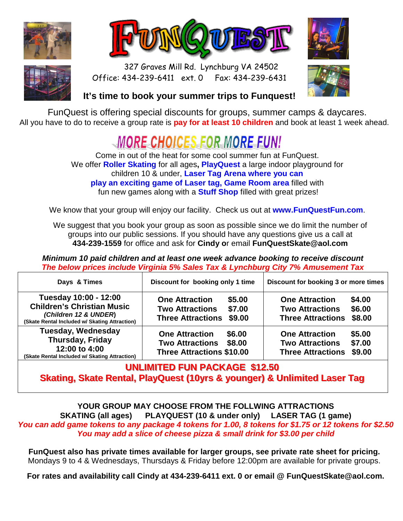







 327 Graves Mill Rd. Lynchburg VA 24502 Office: 434-239-6411 ext. 0 Fax: 434-239-6431



## **It's time to book your summer trips to Funquest!**

FunQuest is offering special discounts for groups, summer camps & daycares. All you have to do to receive a group rate is **pay for at least 10 children** and book at least 1 week ahead.

## MORE CHOICES FOR MORE FUNI

Come in out of the heat for some cool summer fun at FunQuest. We offer **Roller Skating** for all ages**, PlayQuest** a large indoor playground for children 10 & under, **Laser Tag Arena where you can play an exciting game of Laser tag, Game Room area** filled with fun new games along with a **Stuff Shop** filled with great prizes!

We know that your group will enjoy our facility. Check us out at **www.FunQuestFun.com**.

We suggest that you book your group as soon as possible since we do limit the number of groups into our public sessions. If you should have any questions give us a call at **434-239-1559** for office and ask for **Cindy o**r email **FunQuestSkate@aol.com** 

**Minimum 10 paid children and at least one week advance booking to receive discount The below prices include Virginia 5% Sales Tax & Lynchburg City 7% Amusement Tax** 

| Days & Times                                                                                                                         | Discount for booking only 1 time                                                                          | Discount for booking 3 or more times                                                                      |  |  |  |
|--------------------------------------------------------------------------------------------------------------------------------------|-----------------------------------------------------------------------------------------------------------|-----------------------------------------------------------------------------------------------------------|--|--|--|
| Tuesday 10:00 - 12:00<br><b>Children's Christian Music</b><br>(Children 12 & UNDER)<br>(Skate Rental Included w/ Skating Attraction) | <b>One Attraction</b><br>\$5.00<br>\$7.00<br><b>Two Attractions</b><br>\$9.00<br><b>Three Attractions</b> | \$4.00<br><b>One Attraction</b><br>\$6.00<br><b>Two Attractions</b><br>\$8.00<br><b>Three Attractions</b> |  |  |  |
| <b>Tuesday, Wednesday</b><br>Thursday, Friday<br>12:00 to 4:00<br>(Skate Rental Included w/ Skating Attraction)                      | <b>One Attraction</b><br>\$6.00<br>\$8.00<br><b>Two Attractions</b><br><b>Three Attractions \$10.00</b>   | \$5.00<br><b>One Attraction</b><br>\$7.00<br><b>Two Attractions</b><br><b>Three Attractions</b><br>\$9.00 |  |  |  |

**UNLIMITED FUN PACKAGE \$12.50 Skating, Skate Rental, PlayQuest (10yrs & younger) & Unlimited Laser Tag** 

**YOUR GROUP MAY CHOOSE FROM THE FOLLWING ATTRACTIONS SKATING (all ages) PLAYQUEST (10 & under only) LASER TAG (1 game) You can add game tokens to any package 4 tokens for 1.00, 8 tokens for \$1.75 or 12 tokens for \$2.50 You may add a slice of cheese pizza & small drink for \$3.00 per child** 

**FunQuest also has private times available for larger groups, see private rate sheet for pricing.**  Mondays 9 to 4 & Wednesdays, Thursdays & Friday before 12:00pm are available for private groups.

**For rates and availability call Cindy at 434-239-6411 ext. 0 or email @ FunQuestSkate@aol.com.**